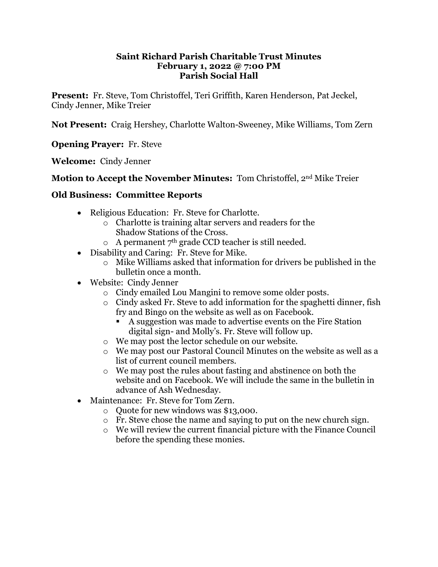### **Saint Richard Parish Charitable Trust Minutes February 1, 2022 @ 7:00 PM Parish Social Hall**

**Present:** Fr. Steve, Tom Christoffel, Teri Griffith, Karen Henderson, Pat Jeckel, Cindy Jenner, Mike Treier

**Not Present:** Craig Hershey, Charlotte Walton-Sweeney, Mike Williams, Tom Zern

## **Opening Prayer:** Fr. Steve

**Welcome:** Cindy Jenner

# **Motion to Accept the November Minutes:** Tom Christoffel, 2nd Mike Treier

## **Old Business: Committee Reports**

- Religious Education: Fr. Steve for Charlotte.
	- o Charlotte is training altar servers and readers for the Shadow Stations of the Cross.
	- $\circ$  A permanent  $7<sup>th</sup>$  grade CCD teacher is still needed.
- Disability and Caring: Fr. Steve for Mike.
	- o Mike Williams asked that information for drivers be published in the bulletin once a month.
- Website: Cindy Jenner
	- o Cindy emailed Lou Mangini to remove some older posts.
	- o Cindy asked Fr. Steve to add information for the spaghetti dinner, fish fry and Bingo on the website as well as on Facebook.
		- A suggestion was made to advertise events on the Fire Station digital sign- and Molly's. Fr. Steve will follow up.
	- o We may post the lector schedule on our website.
	- o We may post our Pastoral Council Minutes on the website as well as a list of current council members.
	- o We may post the rules about fasting and abstinence on both the website and on Facebook. We will include the same in the bulletin in advance of Ash Wednesday.
- Maintenance: Fr. Steve for Tom Zern.
	- o Quote for new windows was \$13,000.
	- o Fr. Steve chose the name and saying to put on the new church sign.
	- o We will review the current financial picture with the Finance Council before the spending these monies.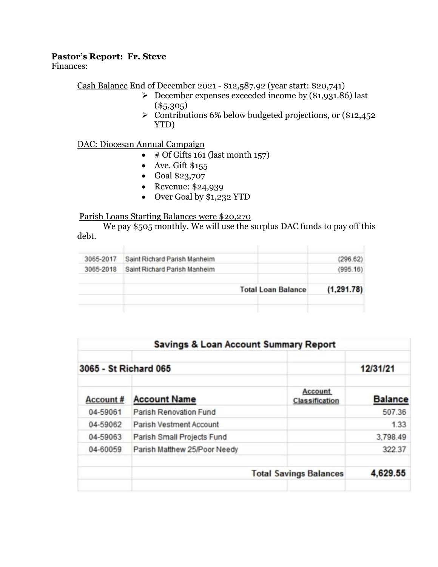# **Pastor's Report: Fr. Steve**

Finances:

Cash Balance End of December 2021 - \$12,587.92 (year start: \$20,741)

- $\triangleright$  December expenses exceeded income by (\$1,931.86) last  $(*5,305)$
- ➢ Contributions 6% below budgeted projections, or (\$12,452 YTD)

## DAC: Diocesan Annual Campaign

- $\#$  Of Gifts 161 (last month 157)
- Ave. Gift \$155
- Goal \$23,707
- Revenue: \$24,939
- Over Goal by \$1,232 YTD

## Parish Loans Starting Balances were \$20,270

We pay \$505 monthly. We will use the surplus DAC funds to pay off this debt.

| 3065-2017 | Saint Richard Parish Manheim | (296.62)    |
|-----------|------------------------------|-------------|
| 3065-2018 | Saint Richard Parish Manheim | (995.16)    |
|           | <b>Total Loan Balance</b>    | (1, 291.78) |
|           |                              |             |

| <b>Savings &amp; Loan Account Summary Report</b> |                               |                                  |                |  |
|--------------------------------------------------|-------------------------------|----------------------------------|----------------|--|
| 3065 - St Richard 065                            |                               |                                  | 12/31/21       |  |
| <b>Account#</b>                                  | <b>Account Name</b>           | Account<br><b>Classification</b> | <b>Balance</b> |  |
| 04-59061                                         | Parish Renovation Fund        |                                  | 507.36         |  |
| 04-59062                                         | Parish Vestment Account       |                                  | 1.33           |  |
| 04-59063                                         | Parish Small Projects Fund    |                                  | 3,798.49       |  |
| 04-60059                                         | Parish Matthew 25/Poor Needy  |                                  | 322.37         |  |
|                                                  | <b>Total Savings Balances</b> |                                  | 4,629.55       |  |
|                                                  |                               |                                  |                |  |